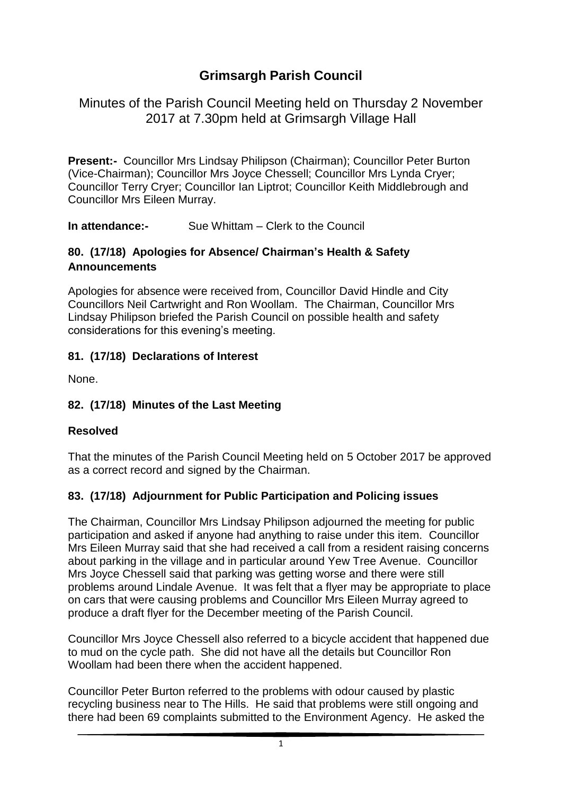# **Grimsargh Parish Council**

Minutes of the Parish Council Meeting held on Thursday 2 November 2017 at 7.30pm held at Grimsargh Village Hall

**Present:-** Councillor Mrs Lindsay Philipson (Chairman); Councillor Peter Burton (Vice-Chairman); Councillor Mrs Joyce Chessell; Councillor Mrs Lynda Cryer; Councillor Terry Cryer; Councillor Ian Liptrot; Councillor Keith Middlebrough and Councillor Mrs Eileen Murray.

**In attendance:-** Sue Whittam – Clerk to the Council

#### **80. (17/18) Apologies for Absence/ Chairman's Health & Safety Announcements**

Apologies for absence were received from, Councillor David Hindle and City Councillors Neil Cartwright and Ron Woollam. The Chairman, Councillor Mrs Lindsay Philipson briefed the Parish Council on possible health and safety considerations for this evening's meeting.

#### **81. (17/18) Declarations of Interest**

None.

## **82. (17/18) Minutes of the Last Meeting**

#### **Resolved**

That the minutes of the Parish Council Meeting held on 5 October 2017 be approved as a correct record and signed by the Chairman.

#### **83. (17/18) Adjournment for Public Participation and Policing issues**

The Chairman, Councillor Mrs Lindsay Philipson adjourned the meeting for public participation and asked if anyone had anything to raise under this item. Councillor Mrs Eileen Murray said that she had received a call from a resident raising concerns about parking in the village and in particular around Yew Tree Avenue. Councillor Mrs Joyce Chessell said that parking was getting worse and there were still problems around Lindale Avenue. It was felt that a flyer may be appropriate to place on cars that were causing problems and Councillor Mrs Eileen Murray agreed to produce a draft flyer for the December meeting of the Parish Council.

Councillor Mrs Joyce Chessell also referred to a bicycle accident that happened due to mud on the cycle path. She did not have all the details but Councillor Ron Woollam had been there when the accident happened.

Councillor Peter Burton referred to the problems with odour caused by plastic recycling business near to The Hills. He said that problems were still ongoing and there had been 69 complaints submitted to the Environment Agency. He asked the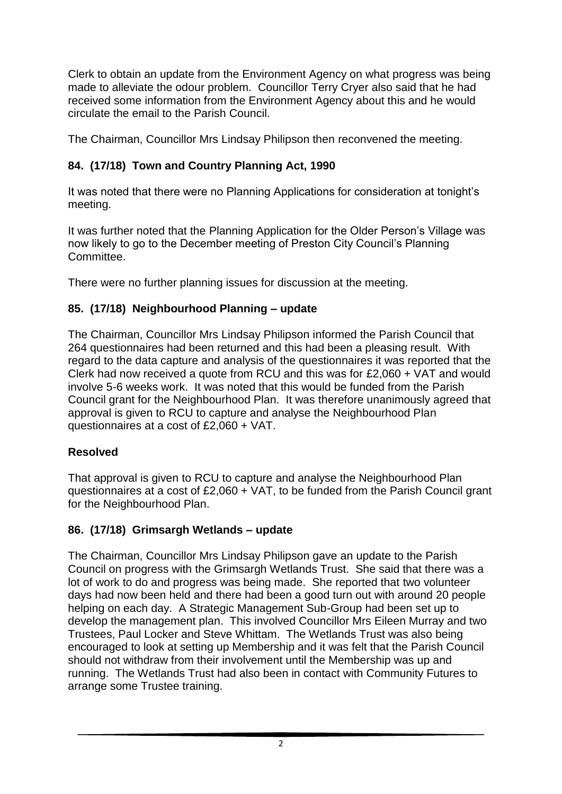Clerk to obtain an update from the Environment Agency on what progress was being made to alleviate the odour problem. Councillor Terry Cryer also said that he had received some information from the Environment Agency about this and he would circulate the email to the Parish Council.

The Chairman, Councillor Mrs Lindsay Philipson then reconvened the meeting.

# **84. (17/18) Town and Country Planning Act, 1990**

It was noted that there were no Planning Applications for consideration at tonight's meeting.

It was further noted that the Planning Application for the Older Person's Village was now likely to go to the December meeting of Preston City Council's Planning Committee.

There were no further planning issues for discussion at the meeting.

# **85. (17/18) Neighbourhood Planning – update**

The Chairman, Councillor Mrs Lindsay Philipson informed the Parish Council that 264 questionnaires had been returned and this had been a pleasing result. With regard to the data capture and analysis of the questionnaires it was reported that the Clerk had now received a quote from RCU and this was for £2,060 + VAT and would involve 5-6 weeks work. It was noted that this would be funded from the Parish Council grant for the Neighbourhood Plan. It was therefore unanimously agreed that approval is given to RCU to capture and analyse the Neighbourhood Plan questionnaires at a cost of £2,060 + VAT.

# **Resolved**

That approval is given to RCU to capture and analyse the Neighbourhood Plan questionnaires at a cost of £2,060 + VAT, to be funded from the Parish Council grant for the Neighbourhood Plan.

# **86. (17/18) Grimsargh Wetlands – update**

The Chairman, Councillor Mrs Lindsay Philipson gave an update to the Parish Council on progress with the Grimsargh Wetlands Trust. She said that there was a lot of work to do and progress was being made. She reported that two volunteer days had now been held and there had been a good turn out with around 20 people helping on each day. A Strategic Management Sub-Group had been set up to develop the management plan. This involved Councillor Mrs Eileen Murray and two Trustees, Paul Locker and Steve Whittam. The Wetlands Trust was also being encouraged to look at setting up Membership and it was felt that the Parish Council should not withdraw from their involvement until the Membership was up and running. The Wetlands Trust had also been in contact with Community Futures to arrange some Trustee training.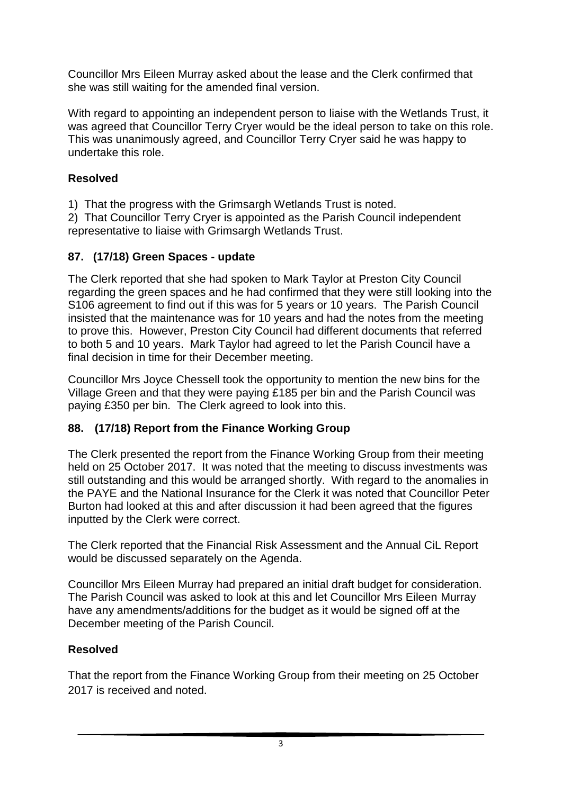Councillor Mrs Eileen Murray asked about the lease and the Clerk confirmed that she was still waiting for the amended final version.

With regard to appointing an independent person to liaise with the Wetlands Trust, it was agreed that Councillor Terry Cryer would be the ideal person to take on this role. This was unanimously agreed, and Councillor Terry Cryer said he was happy to undertake this role.

## **Resolved**

1) That the progress with the Grimsargh Wetlands Trust is noted.

2) That Councillor Terry Cryer is appointed as the Parish Council independent representative to liaise with Grimsargh Wetlands Trust.

#### **87. (17/18) Green Spaces - update**

The Clerk reported that she had spoken to Mark Taylor at Preston City Council regarding the green spaces and he had confirmed that they were still looking into the S106 agreement to find out if this was for 5 years or 10 years. The Parish Council insisted that the maintenance was for 10 years and had the notes from the meeting to prove this. However, Preston City Council had different documents that referred to both 5 and 10 years. Mark Taylor had agreed to let the Parish Council have a final decision in time for their December meeting.

Councillor Mrs Joyce Chessell took the opportunity to mention the new bins for the Village Green and that they were paying £185 per bin and the Parish Council was paying £350 per bin. The Clerk agreed to look into this.

#### **88. (17/18) Report from the Finance Working Group**

The Clerk presented the report from the Finance Working Group from their meeting held on 25 October 2017. It was noted that the meeting to discuss investments was still outstanding and this would be arranged shortly. With regard to the anomalies in the PAYE and the National Insurance for the Clerk it was noted that Councillor Peter Burton had looked at this and after discussion it had been agreed that the figures inputted by the Clerk were correct.

The Clerk reported that the Financial Risk Assessment and the Annual CiL Report would be discussed separately on the Agenda.

Councillor Mrs Eileen Murray had prepared an initial draft budget for consideration. The Parish Council was asked to look at this and let Councillor Mrs Eileen Murray have any amendments/additions for the budget as it would be signed off at the December meeting of the Parish Council.

## **Resolved**

That the report from the Finance Working Group from their meeting on 25 October 2017 is received and noted.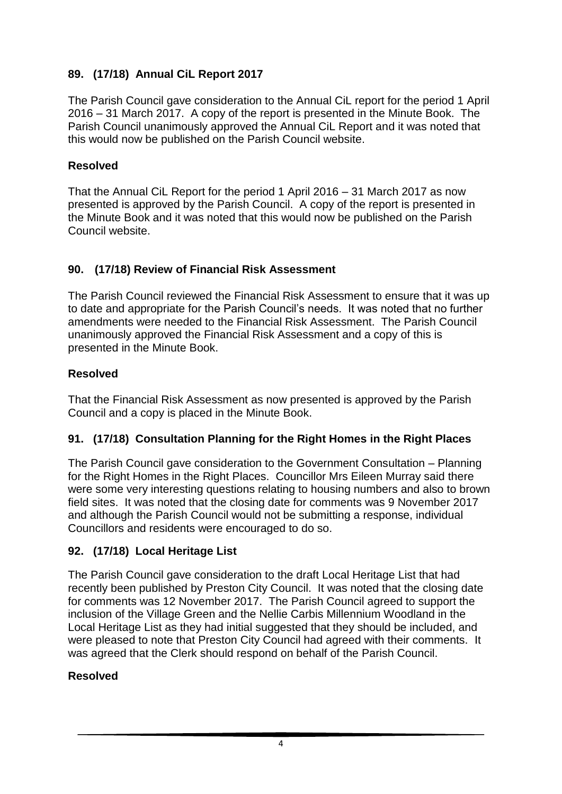# **89. (17/18) Annual CiL Report 2017**

The Parish Council gave consideration to the Annual CiL report for the period 1 April 2016 – 31 March 2017. A copy of the report is presented in the Minute Book. The Parish Council unanimously approved the Annual CiL Report and it was noted that this would now be published on the Parish Council website.

## **Resolved**

That the Annual CiL Report for the period 1 April 2016 – 31 March 2017 as now presented is approved by the Parish Council. A copy of the report is presented in the Minute Book and it was noted that this would now be published on the Parish Council website.

# **90. (17/18) Review of Financial Risk Assessment**

The Parish Council reviewed the Financial Risk Assessment to ensure that it was up to date and appropriate for the Parish Council's needs. It was noted that no further amendments were needed to the Financial Risk Assessment. The Parish Council unanimously approved the Financial Risk Assessment and a copy of this is presented in the Minute Book.

# **Resolved**

That the Financial Risk Assessment as now presented is approved by the Parish Council and a copy is placed in the Minute Book.

## **91. (17/18) Consultation Planning for the Right Homes in the Right Places**

The Parish Council gave consideration to the Government Consultation – Planning for the Right Homes in the Right Places. Councillor Mrs Eileen Murray said there were some very interesting questions relating to housing numbers and also to brown field sites. It was noted that the closing date for comments was 9 November 2017 and although the Parish Council would not be submitting a response, individual Councillors and residents were encouraged to do so.

# **92. (17/18) Local Heritage List**

The Parish Council gave consideration to the draft Local Heritage List that had recently been published by Preston City Council. It was noted that the closing date for comments was 12 November 2017. The Parish Council agreed to support the inclusion of the Village Green and the Nellie Carbis Millennium Woodland in the Local Heritage List as they had initial suggested that they should be included, and were pleased to note that Preston City Council had agreed with their comments. It was agreed that the Clerk should respond on behalf of the Parish Council.

## **Resolved**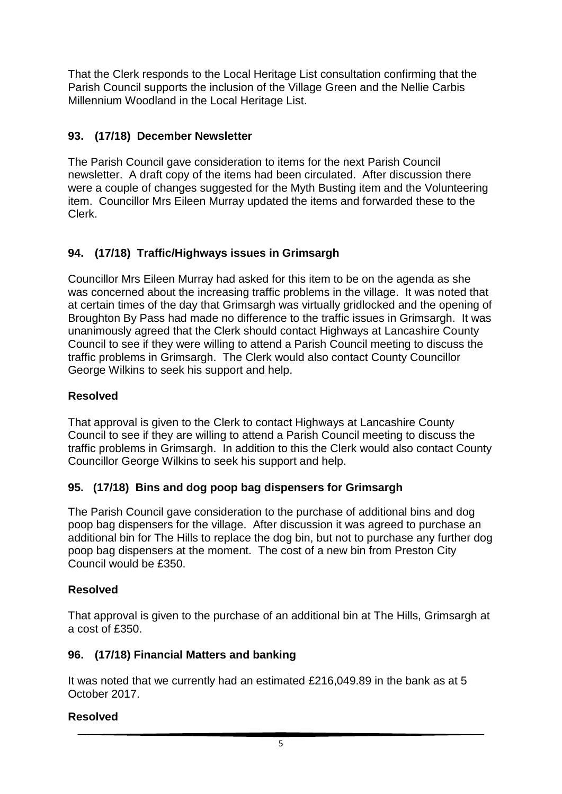That the Clerk responds to the Local Heritage List consultation confirming that the Parish Council supports the inclusion of the Village Green and the Nellie Carbis Millennium Woodland in the Local Heritage List.

# **93. (17/18) December Newsletter**

The Parish Council gave consideration to items for the next Parish Council newsletter. A draft copy of the items had been circulated. After discussion there were a couple of changes suggested for the Myth Busting item and the Volunteering item. Councillor Mrs Eileen Murray updated the items and forwarded these to the Clerk.

# **94. (17/18) Traffic/Highways issues in Grimsargh**

Councillor Mrs Eileen Murray had asked for this item to be on the agenda as she was concerned about the increasing traffic problems in the village. It was noted that at certain times of the day that Grimsargh was virtually gridlocked and the opening of Broughton By Pass had made no difference to the traffic issues in Grimsargh. It was unanimously agreed that the Clerk should contact Highways at Lancashire County Council to see if they were willing to attend a Parish Council meeting to discuss the traffic problems in Grimsargh. The Clerk would also contact County Councillor George Wilkins to seek his support and help.

### **Resolved**

That approval is given to the Clerk to contact Highways at Lancashire County Council to see if they are willing to attend a Parish Council meeting to discuss the traffic problems in Grimsargh. In addition to this the Clerk would also contact County Councillor George Wilkins to seek his support and help.

## **95. (17/18) Bins and dog poop bag dispensers for Grimsargh**

The Parish Council gave consideration to the purchase of additional bins and dog poop bag dispensers for the village. After discussion it was agreed to purchase an additional bin for The Hills to replace the dog bin, but not to purchase any further dog poop bag dispensers at the moment. The cost of a new bin from Preston City Council would be £350.

#### **Resolved**

That approval is given to the purchase of an additional bin at The Hills, Grimsargh at a cost of £350.

#### **96. (17/18) Financial Matters and banking**

It was noted that we currently had an estimated £216,049.89 in the bank as at 5 October 2017.

#### **Resolved**